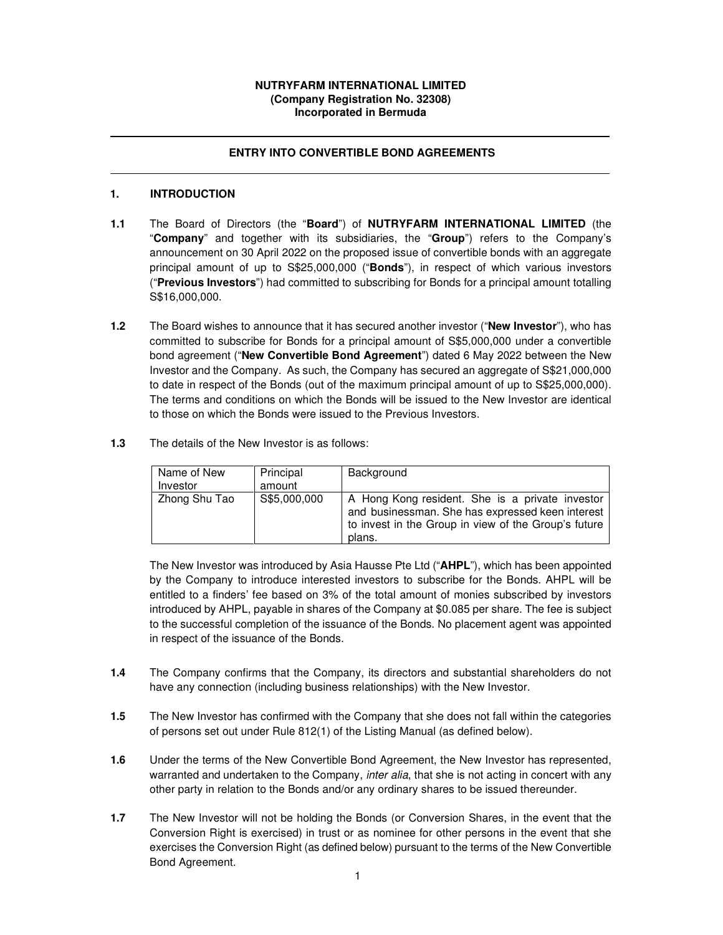### **NUTRYFARM INTERNATIONAL LIMITED (Company Registration No. 32308) Incorporated in Bermuda**

### **ENTRY INTO CONVERTIBLE BOND AGREEMENTS**

### **1. INTRODUCTION**

- **1.1** The Board of Directors (the "**Board**") of **NUTRYFARM INTERNATIONAL LIMITED** (the "**Company**" and together with its subsidiaries, the "**Group**") refers to the Company's announcement on 30 April 2022 on the proposed issue of convertible bonds with an aggregate principal amount of up to S\$25,000,000 ("**Bonds**"), in respect of which various investors ("**Previous Investors**") had committed to subscribing for Bonds for a principal amount totalling S\$16,000,000.
- **1.2** The Board wishes to announce that it has secured another investor ("**New Investor**"), who has committed to subscribe for Bonds for a principal amount of S\$5,000,000 under a convertible bond agreement ("**New Convertible Bond Agreement**") dated 6 May 2022 between the New Investor and the Company. As such, the Company has secured an aggregate of S\$21,000,000 to date in respect of the Bonds (out of the maximum principal amount of up to S\$25,000,000). The terms and conditions on which the Bonds will be issued to the New Investor are identical to those on which the Bonds were issued to the Previous Investors.
- **1.3** The details of the New Investor is as follows:

| Name of New<br>Investor | Principal<br>amount | Background                                                                                                                                                            |
|-------------------------|---------------------|-----------------------------------------------------------------------------------------------------------------------------------------------------------------------|
| Zhong Shu Tao           | S\$5,000,000        | A Hong Kong resident. She is a private investor<br>and businessman. She has expressed keen interest<br>to invest in the Group in view of the Group's future<br>plans. |

The New Investor was introduced by Asia Hausse Pte Ltd ("**AHPL**"), which has been appointed by the Company to introduce interested investors to subscribe for the Bonds. AHPL will be entitled to a finders' fee based on 3% of the total amount of monies subscribed by investors introduced by AHPL, payable in shares of the Company at \$0.085 per share. The fee is subject to the successful completion of the issuance of the Bonds. No placement agent was appointed in respect of the issuance of the Bonds.

- **1.4** The Company confirms that the Company, its directors and substantial shareholders do not have any connection (including business relationships) with the New Investor.
- **1.5** The New Investor has confirmed with the Company that she does not fall within the categories of persons set out under Rule 812(1) of the Listing Manual (as defined below).
- **1.6** Under the terms of the New Convertible Bond Agreement, the New Investor has represented, warranted and undertaken to the Company, *inter alia*, that she is not acting in concert with any other party in relation to the Bonds and/or any ordinary shares to be issued thereunder.
- **1.7** The New Investor will not be holding the Bonds (or Conversion Shares, in the event that the Conversion Right is exercised) in trust or as nominee for other persons in the event that she exercises the Conversion Right (as defined below) pursuant to the terms of the New Convertible Bond Agreement.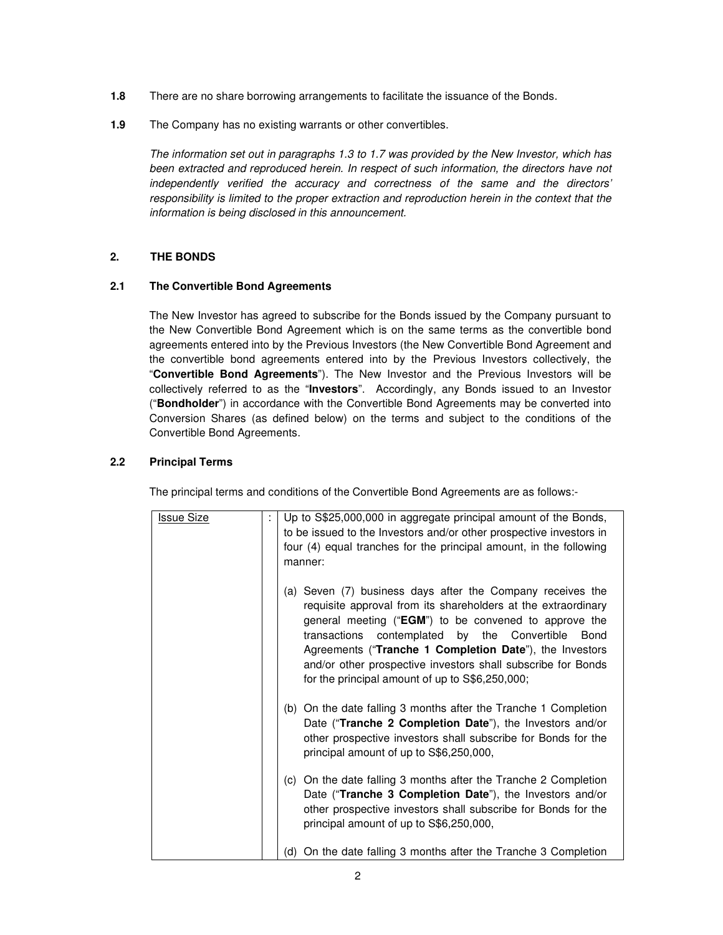- **1.8** There are no share borrowing arrangements to facilitate the issuance of the Bonds.
- **1.9** The Company has no existing warrants or other convertibles.

The information set out in paragraphs 1.3 to 1.7 was provided by the New Investor, which has been extracted and reproduced herein. In respect of such information, the directors have not independently verified the accuracy and correctness of the same and the directors' responsibility is limited to the proper extraction and reproduction herein in the context that the information is being disclosed in this announcement.

# **2. THE BONDS**

## **2.1 The Convertible Bond Agreements**

The New Investor has agreed to subscribe for the Bonds issued by the Company pursuant to the New Convertible Bond Agreement which is on the same terms as the convertible bond agreements entered into by the Previous Investors (the New Convertible Bond Agreement and the convertible bond agreements entered into by the Previous Investors collectively, the "**Convertible Bond Agreements**"). The New Investor and the Previous Investors will be collectively referred to as the "**Investors**". Accordingly, any Bonds issued to an Investor ("**Bondholder**") in accordance with the Convertible Bond Agreements may be converted into Conversion Shares (as defined below) on the terms and subject to the conditions of the Convertible Bond Agreements.

## **2.2 Principal Terms**

The principal terms and conditions of the Convertible Bond Agreements are as follows:-

| <b>Issue Size</b> | Up to S\$25,000,000 in aggregate principal amount of the Bonds,<br>to be issued to the Investors and/or other prospective investors in<br>four (4) equal tranches for the principal amount, in the following<br>manner:                                                                                                                                                                                                              |
|-------------------|--------------------------------------------------------------------------------------------------------------------------------------------------------------------------------------------------------------------------------------------------------------------------------------------------------------------------------------------------------------------------------------------------------------------------------------|
|                   | (a) Seven (7) business days after the Company receives the<br>requisite approval from its shareholders at the extraordinary<br>general meeting ("EGM") to be convened to approve the<br>contemplated by the Convertible<br>transactions<br><b>Bond</b><br>Agreements ("Tranche 1 Completion Date"), the Investors<br>and/or other prospective investors shall subscribe for Bonds<br>for the principal amount of up to S\$6,250,000; |
|                   | (b) On the date falling 3 months after the Tranche 1 Completion<br>Date ("Tranche 2 Completion Date"), the Investors and/or<br>other prospective investors shall subscribe for Bonds for the<br>principal amount of up to S\$6,250,000,                                                                                                                                                                                              |
|                   | (c) On the date falling 3 months after the Tranche 2 Completion<br>Date ("Tranche 3 Completion Date"), the Investors and/or<br>other prospective investors shall subscribe for Bonds for the<br>principal amount of up to S\$6,250,000,                                                                                                                                                                                              |
|                   | (d) On the date falling 3 months after the Tranche 3 Completion                                                                                                                                                                                                                                                                                                                                                                      |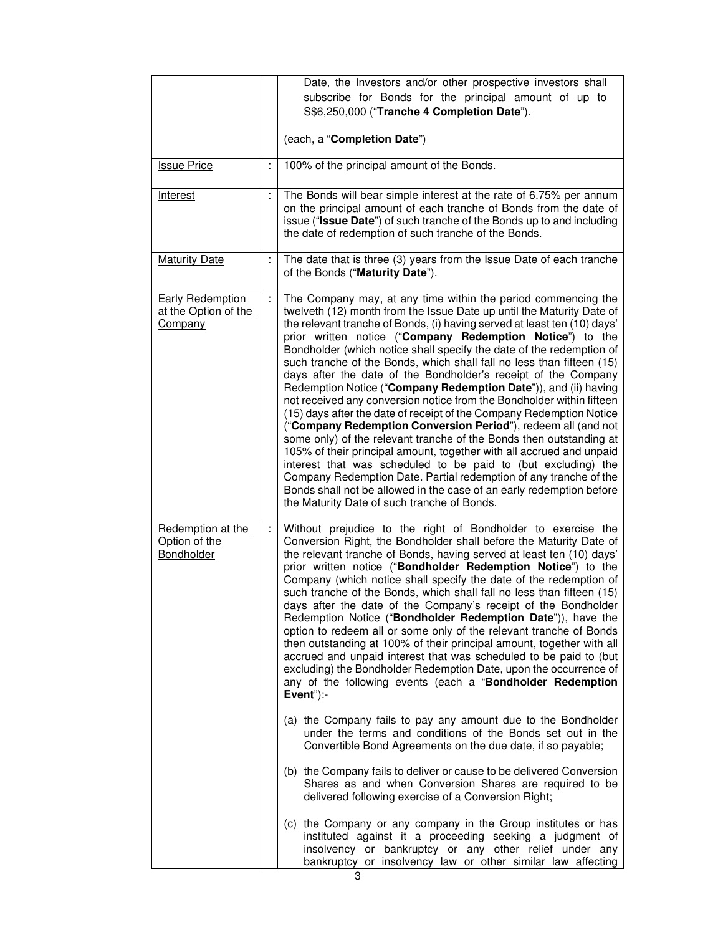|                                                                   |   | Date, the Investors and/or other prospective investors shall                                                                                                                                                                                                                                                                                                                                                                                                                                                                                                                                                                                                                                                                                                                                                                                                                                                                                                                                                                                                                                                                                                                                                                                                                                                          |  |
|-------------------------------------------------------------------|---|-----------------------------------------------------------------------------------------------------------------------------------------------------------------------------------------------------------------------------------------------------------------------------------------------------------------------------------------------------------------------------------------------------------------------------------------------------------------------------------------------------------------------------------------------------------------------------------------------------------------------------------------------------------------------------------------------------------------------------------------------------------------------------------------------------------------------------------------------------------------------------------------------------------------------------------------------------------------------------------------------------------------------------------------------------------------------------------------------------------------------------------------------------------------------------------------------------------------------------------------------------------------------------------------------------------------------|--|
|                                                                   |   | subscribe for Bonds for the principal amount of up to                                                                                                                                                                                                                                                                                                                                                                                                                                                                                                                                                                                                                                                                                                                                                                                                                                                                                                                                                                                                                                                                                                                                                                                                                                                                 |  |
|                                                                   |   | S\$6,250,000 ("Tranche 4 Completion Date").                                                                                                                                                                                                                                                                                                                                                                                                                                                                                                                                                                                                                                                                                                                                                                                                                                                                                                                                                                                                                                                                                                                                                                                                                                                                           |  |
|                                                                   |   |                                                                                                                                                                                                                                                                                                                                                                                                                                                                                                                                                                                                                                                                                                                                                                                                                                                                                                                                                                                                                                                                                                                                                                                                                                                                                                                       |  |
|                                                                   |   | (each, a "Completion Date")                                                                                                                                                                                                                                                                                                                                                                                                                                                                                                                                                                                                                                                                                                                                                                                                                                                                                                                                                                                                                                                                                                                                                                                                                                                                                           |  |
| <b>Issue Price</b>                                                | t | 100% of the principal amount of the Bonds.                                                                                                                                                                                                                                                                                                                                                                                                                                                                                                                                                                                                                                                                                                                                                                                                                                                                                                                                                                                                                                                                                                                                                                                                                                                                            |  |
| <b>Interest</b>                                                   |   | The Bonds will bear simple interest at the rate of 6.75% per annum<br>on the principal amount of each tranche of Bonds from the date of<br>issue ("Issue Date") of such tranche of the Bonds up to and including<br>the date of redemption of such tranche of the Bonds.                                                                                                                                                                                                                                                                                                                                                                                                                                                                                                                                                                                                                                                                                                                                                                                                                                                                                                                                                                                                                                              |  |
| <b>Maturity Date</b>                                              | ÷ | The date that is three (3) years from the Issue Date of each tranche<br>of the Bonds ("Maturity Date").                                                                                                                                                                                                                                                                                                                                                                                                                                                                                                                                                                                                                                                                                                                                                                                                                                                                                                                                                                                                                                                                                                                                                                                                               |  |
| <b>Early Redemption</b><br>at the Option of the<br><b>Company</b> | t | The Company may, at any time within the period commencing the<br>twelveth (12) month from the Issue Date up until the Maturity Date of<br>the relevant tranche of Bonds, (i) having served at least ten (10) days'<br>prior written notice ("Company Redemption Notice") to the<br>Bondholder (which notice shall specify the date of the redemption of<br>such tranche of the Bonds, which shall fall no less than fifteen (15)<br>days after the date of the Bondholder's receipt of the Company<br>Redemption Notice ("Company Redemption Date")), and (ii) having<br>not received any conversion notice from the Bondholder within fifteen<br>(15) days after the date of receipt of the Company Redemption Notice<br>("Company Redemption Conversion Period"), redeem all (and not<br>some only) of the relevant tranche of the Bonds then outstanding at<br>105% of their principal amount, together with all accrued and unpaid<br>interest that was scheduled to be paid to (but excluding) the<br>Company Redemption Date. Partial redemption of any tranche of the<br>Bonds shall not be allowed in the case of an early redemption before<br>the Maturity Date of such tranche of Bonds.                                                                                                                   |  |
| Redemption at the<br>Option of the<br>Bondholder                  | ÷ | Without prejudice to the right of Bondholder to exercise the<br>Conversion Right, the Bondholder shall before the Maturity Date of<br>the relevant tranche of Bonds, having served at least ten (10) days'<br>prior written notice ("Bondholder Redemption Notice") to the<br>Company (which notice shall specify the date of the redemption of<br>such tranche of the Bonds, which shall fall no less than fifteen (15)<br>days after the date of the Company's receipt of the Bondholder<br>Redemption Notice ("Bondholder Redemption Date")), have the<br>option to redeem all or some only of the relevant tranche of Bonds<br>then outstanding at 100% of their principal amount, together with all<br>accrued and unpaid interest that was scheduled to be paid to (but<br>excluding) the Bondholder Redemption Date, upon the occurrence of<br>any of the following events (each a "Bondholder Redemption<br>Event"):-<br>(a) the Company fails to pay any amount due to the Bondholder<br>under the terms and conditions of the Bonds set out in the<br>Convertible Bond Agreements on the due date, if so payable;<br>(b) the Company fails to deliver or cause to be delivered Conversion<br>Shares as and when Conversion Shares are required to be<br>delivered following exercise of a Conversion Right; |  |
|                                                                   |   | (c) the Company or any company in the Group institutes or has<br>instituted against it a proceeding seeking a judgment of<br>insolvency or bankruptcy or any other relief under any<br>bankruptcy or insolvency law or other similar law affecting                                                                                                                                                                                                                                                                                                                                                                                                                                                                                                                                                                                                                                                                                                                                                                                                                                                                                                                                                                                                                                                                    |  |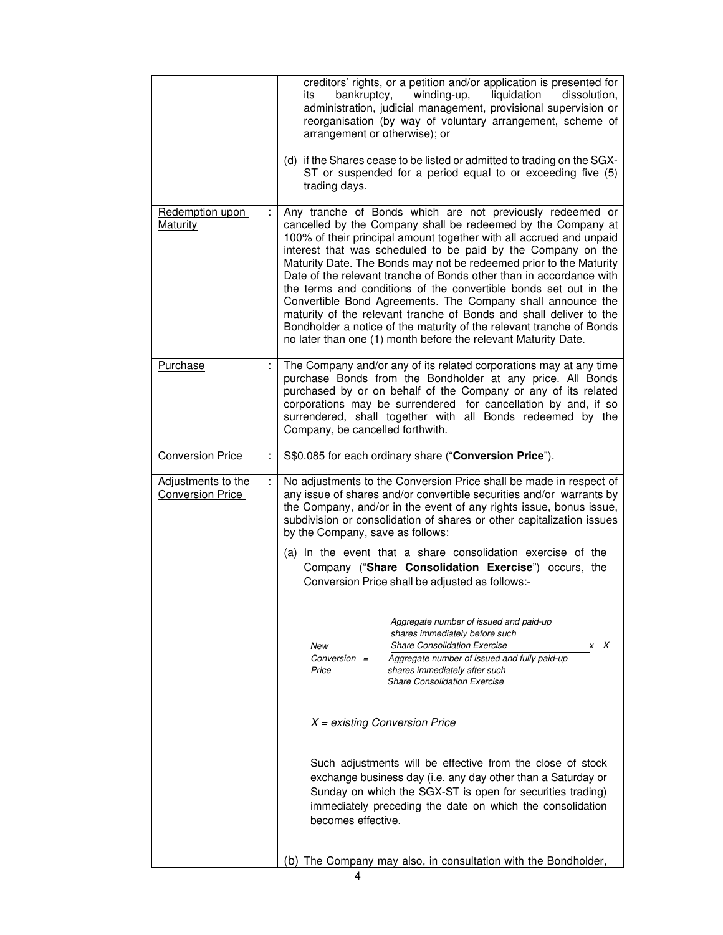|                                               |    | creditors' rights, or a petition and/or application is presented for<br>winding-up,<br>bankruptcy,<br>liquidation<br>dissolution,<br>its<br>administration, judicial management, provisional supervision or<br>reorganisation (by way of voluntary arrangement, scheme of<br>arrangement or otherwise); or<br>(d) if the Shares cease to be listed or admitted to trading on the SGX-<br>ST or suspended for a period equal to or exceeding five (5)<br>trading days.                                                                                                                                                                                                                                                                                            |
|-----------------------------------------------|----|------------------------------------------------------------------------------------------------------------------------------------------------------------------------------------------------------------------------------------------------------------------------------------------------------------------------------------------------------------------------------------------------------------------------------------------------------------------------------------------------------------------------------------------------------------------------------------------------------------------------------------------------------------------------------------------------------------------------------------------------------------------|
| Redemption upon<br><b>Maturity</b>            |    | Any tranche of Bonds which are not previously redeemed or<br>cancelled by the Company shall be redeemed by the Company at<br>100% of their principal amount together with all accrued and unpaid<br>interest that was scheduled to be paid by the Company on the<br>Maturity Date. The Bonds may not be redeemed prior to the Maturity<br>Date of the relevant tranche of Bonds other than in accordance with<br>the terms and conditions of the convertible bonds set out in the<br>Convertible Bond Agreements. The Company shall announce the<br>maturity of the relevant tranche of Bonds and shall deliver to the<br>Bondholder a notice of the maturity of the relevant tranche of Bonds<br>no later than one (1) month before the relevant Maturity Date. |
| <b>Purchase</b>                               | ÷  | The Company and/or any of its related corporations may at any time<br>purchase Bonds from the Bondholder at any price. All Bonds<br>purchased by or on behalf of the Company or any of its related<br>corporations may be surrendered for cancellation by and, if so<br>surrendered, shall together with all Bonds redeemed by the<br>Company, be cancelled forthwith.                                                                                                                                                                                                                                                                                                                                                                                           |
| <b>Conversion Price</b>                       | Ť, | S\$0.085 for each ordinary share ("Conversion Price").                                                                                                                                                                                                                                                                                                                                                                                                                                                                                                                                                                                                                                                                                                           |
| Adjustments to the<br><b>Conversion Price</b> | ÷, | No adjustments to the Conversion Price shall be made in respect of<br>any issue of shares and/or convertible securities and/or warrants by<br>the Company, and/or in the event of any rights issue, bonus issue,<br>subdivision or consolidation of shares or other capitalization issues<br>by the Company, save as follows:<br>(a) In the event that a share consolidation exercise of the<br>Company ("Share Consolidation Exercise") occurs, the<br>Conversion Price shall be adjusted as follows:-                                                                                                                                                                                                                                                          |
|                                               |    | Aggregate number of issued and paid-up<br>shares immediately before such<br><b>Share Consolidation Exercise</b><br>x X<br>New<br>Aggregate number of issued and fully paid-up<br>$Conversion =$<br>Price<br>shares immediately after such<br><b>Share Consolidation Exercise</b>                                                                                                                                                                                                                                                                                                                                                                                                                                                                                 |
|                                               |    | $X =$ existing Conversion Price                                                                                                                                                                                                                                                                                                                                                                                                                                                                                                                                                                                                                                                                                                                                  |
|                                               |    | Such adjustments will be effective from the close of stock<br>exchange business day (i.e. any day other than a Saturday or<br>Sunday on which the SGX-ST is open for securities trading)<br>immediately preceding the date on which the consolidation<br>becomes effective.                                                                                                                                                                                                                                                                                                                                                                                                                                                                                      |
|                                               |    | (b) The Company may also, in consultation with the Bondholder,                                                                                                                                                                                                                                                                                                                                                                                                                                                                                                                                                                                                                                                                                                   |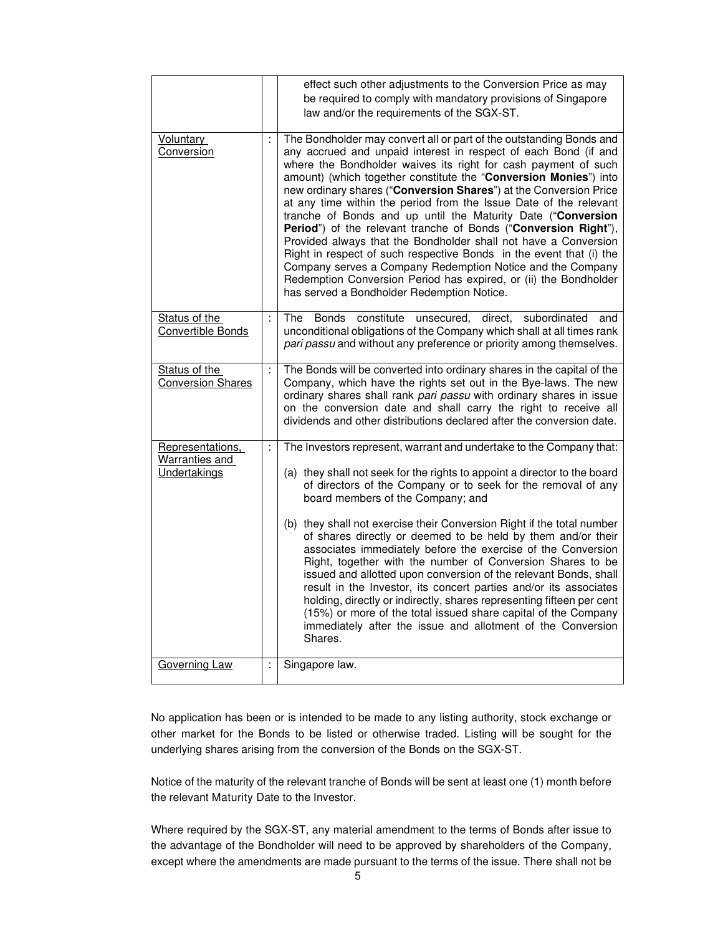|                                                    |    | effect such other adjustments to the Conversion Price as may<br>be required to comply with mandatory provisions of Singapore<br>law and/or the requirements of the SGX-ST.                                                                                                                                                                                                                                                                                                                                                                                                                                                                                                                                                                                                                                                                                                                   |
|----------------------------------------------------|----|----------------------------------------------------------------------------------------------------------------------------------------------------------------------------------------------------------------------------------------------------------------------------------------------------------------------------------------------------------------------------------------------------------------------------------------------------------------------------------------------------------------------------------------------------------------------------------------------------------------------------------------------------------------------------------------------------------------------------------------------------------------------------------------------------------------------------------------------------------------------------------------------|
| <b>Voluntary</b><br>Conversion                     |    | The Bondholder may convert all or part of the outstanding Bonds and<br>any accrued and unpaid interest in respect of each Bond (if and<br>where the Bondholder waives its right for cash payment of such<br>amount) (which together constitute the "Conversion Monies") into<br>new ordinary shares ("Conversion Shares") at the Conversion Price<br>at any time within the period from the Issue Date of the relevant<br>tranche of Bonds and up until the Maturity Date ("Conversion<br>Period") of the relevant tranche of Bonds ("Conversion Right"),<br>Provided always that the Bondholder shall not have a Conversion<br>Right in respect of such respective Bonds in the event that (i) the<br>Company serves a Company Redemption Notice and the Company<br>Redemption Conversion Period has expired, or (ii) the Bondholder<br>has served a Bondholder Redemption Notice.          |
| Status of the<br>Convertible Bonds                 |    | <b>Bonds</b><br>constitute<br>unsecured,<br>direct,<br>subordinated<br>The<br>and<br>unconditional obligations of the Company which shall at all times rank<br>pari passu and without any preference or priority among themselves.                                                                                                                                                                                                                                                                                                                                                                                                                                                                                                                                                                                                                                                           |
| Status of the<br><b>Conversion Shares</b>          | ÷, | The Bonds will be converted into ordinary shares in the capital of the<br>Company, which have the rights set out in the Bye-laws. The new<br>ordinary shares shall rank pari passu with ordinary shares in issue<br>on the conversion date and shall carry the right to receive all<br>dividends and other distributions declared after the conversion date.                                                                                                                                                                                                                                                                                                                                                                                                                                                                                                                                 |
| Representations,<br>Warranties and<br>Undertakings | Ť, | The Investors represent, warrant and undertake to the Company that:<br>(a) they shall not seek for the rights to appoint a director to the board<br>of directors of the Company or to seek for the removal of any<br>board members of the Company; and<br>(b) they shall not exercise their Conversion Right if the total number<br>of shares directly or deemed to be held by them and/or their<br>associates immediately before the exercise of the Conversion<br>Right, together with the number of Conversion Shares to be<br>issued and allotted upon conversion of the relevant Bonds, shall<br>result in the Investor, its concert parties and/or its associates<br>holding, directly or indirectly, shares representing fifteen per cent<br>(15%) or more of the total issued share capital of the Company<br>immediately after the issue and allotment of the Conversion<br>Shares. |
| <b>Governing Law</b>                               | ÷  | Singapore law.                                                                                                                                                                                                                                                                                                                                                                                                                                                                                                                                                                                                                                                                                                                                                                                                                                                                               |

No application has been or is intended to be made to any listing authority, stock exchange or other market for the Bonds to be listed or otherwise traded. Listing will be sought for the underlying shares arising from the conversion of the Bonds on the SGX-ST.

Notice of the maturity of the relevant tranche of Bonds will be sent at least one (1) month before the relevant Maturity Date to the Investor.

Where required by the SGX-ST, any material amendment to the terms of Bonds after issue to the advantage of the Bondholder will need to be approved by shareholders of the Company, except where the amendments are made pursuant to the terms of the issue. There shall not be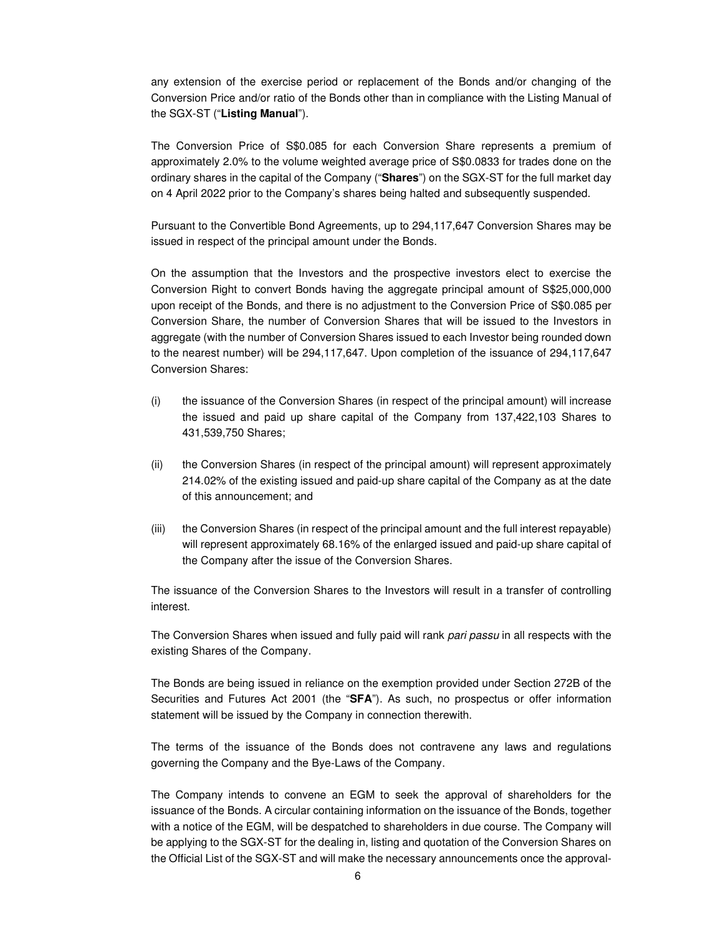any extension of the exercise period or replacement of the Bonds and/or changing of the Conversion Price and/or ratio of the Bonds other than in compliance with the Listing Manual of the SGX-ST ("**Listing Manual**").

The Conversion Price of S\$0.085 for each Conversion Share represents a premium of approximately 2.0% to the volume weighted average price of S\$0.0833 for trades done on the ordinary shares in the capital of the Company ("**Shares**") on the SGX-ST for the full market day on 4 April 2022 prior to the Company's shares being halted and subsequently suspended.

Pursuant to the Convertible Bond Agreements, up to 294,117,647 Conversion Shares may be issued in respect of the principal amount under the Bonds.

On the assumption that the Investors and the prospective investors elect to exercise the Conversion Right to convert Bonds having the aggregate principal amount of S\$25,000,000 upon receipt of the Bonds, and there is no adjustment to the Conversion Price of S\$0.085 per Conversion Share, the number of Conversion Shares that will be issued to the Investors in aggregate (with the number of Conversion Shares issued to each Investor being rounded down to the nearest number) will be 294,117,647. Upon completion of the issuance of 294,117,647 Conversion Shares:

- (i) the issuance of the Conversion Shares (in respect of the principal amount) will increase the issued and paid up share capital of the Company from 137,422,103 Shares to 431,539,750 Shares;
- (ii) the Conversion Shares (in respect of the principal amount) will represent approximately 214.02% of the existing issued and paid-up share capital of the Company as at the date of this announcement; and
- (iii) the Conversion Shares (in respect of the principal amount and the full interest repayable) will represent approximately 68.16% of the enlarged issued and paid-up share capital of the Company after the issue of the Conversion Shares.

The issuance of the Conversion Shares to the Investors will result in a transfer of controlling interest.

The Conversion Shares when issued and fully paid will rank pari passu in all respects with the existing Shares of the Company.

The Bonds are being issued in reliance on the exemption provided under Section 272B of the Securities and Futures Act 2001 (the "**SFA**"). As such, no prospectus or offer information statement will be issued by the Company in connection therewith.

The terms of the issuance of the Bonds does not contravene any laws and regulations governing the Company and the Bye-Laws of the Company.

The Company intends to convene an EGM to seek the approval of shareholders for the issuance of the Bonds. A circular containing information on the issuance of the Bonds, together with a notice of the EGM, will be despatched to shareholders in due course. The Company will be applying to the SGX-ST for the dealing in, listing and quotation of the Conversion Shares on the Official List of the SGX-ST and will make the necessary announcements once the approval-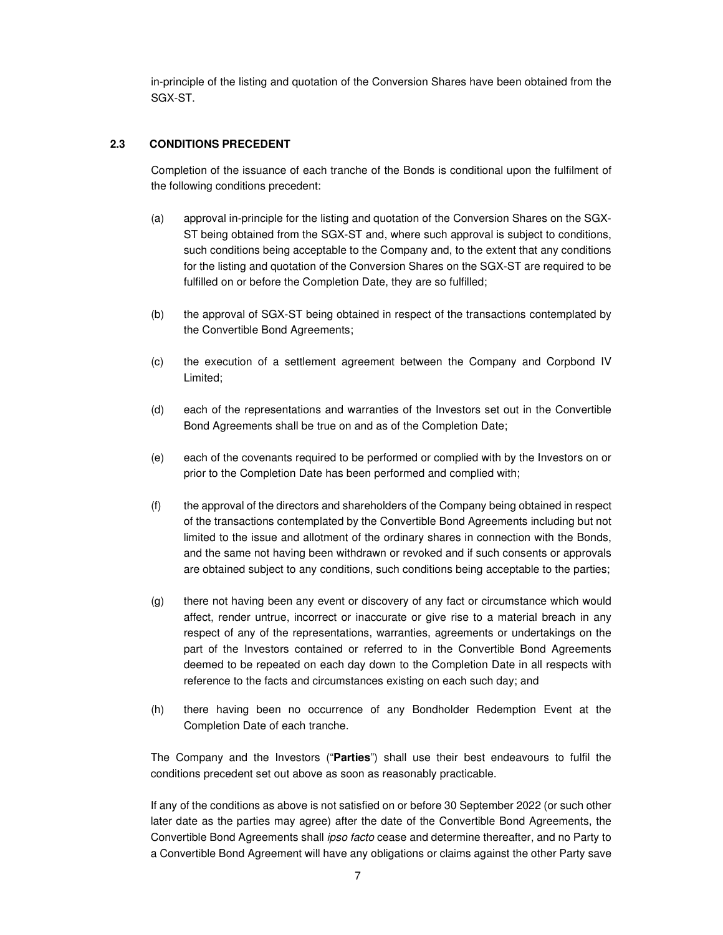in-principle of the listing and quotation of the Conversion Shares have been obtained from the SGX-ST.

### **2.3 CONDITIONS PRECEDENT**

Completion of the issuance of each tranche of the Bonds is conditional upon the fulfilment of the following conditions precedent:

- (a) approval in-principle for the listing and quotation of the Conversion Shares on the SGX-ST being obtained from the SGX-ST and, where such approval is subject to conditions, such conditions being acceptable to the Company and, to the extent that any conditions for the listing and quotation of the Conversion Shares on the SGX-ST are required to be fulfilled on or before the Completion Date, they are so fulfilled;
- (b) the approval of SGX-ST being obtained in respect of the transactions contemplated by the Convertible Bond Agreements;
- (c) the execution of a settlement agreement between the Company and Corpbond IV Limited;
- (d) each of the representations and warranties of the Investors set out in the Convertible Bond Agreements shall be true on and as of the Completion Date;
- (e) each of the covenants required to be performed or complied with by the Investors on or prior to the Completion Date has been performed and complied with;
- (f) the approval of the directors and shareholders of the Company being obtained in respect of the transactions contemplated by the Convertible Bond Agreements including but not limited to the issue and allotment of the ordinary shares in connection with the Bonds, and the same not having been withdrawn or revoked and if such consents or approvals are obtained subject to any conditions, such conditions being acceptable to the parties;
- (g) there not having been any event or discovery of any fact or circumstance which would affect, render untrue, incorrect or inaccurate or give rise to a material breach in any respect of any of the representations, warranties, agreements or undertakings on the part of the Investors contained or referred to in the Convertible Bond Agreements deemed to be repeated on each day down to the Completion Date in all respects with reference to the facts and circumstances existing on each such day; and
- (h) there having been no occurrence of any Bondholder Redemption Event at the Completion Date of each tranche.

The Company and the Investors ("**Parties**") shall use their best endeavours to fulfil the conditions precedent set out above as soon as reasonably practicable.

If any of the conditions as above is not satisfied on or before 30 September 2022 (or such other later date as the parties may agree) after the date of the Convertible Bond Agreements, the Convertible Bond Agreements shall ipso facto cease and determine thereafter, and no Party to a Convertible Bond Agreement will have any obligations or claims against the other Party save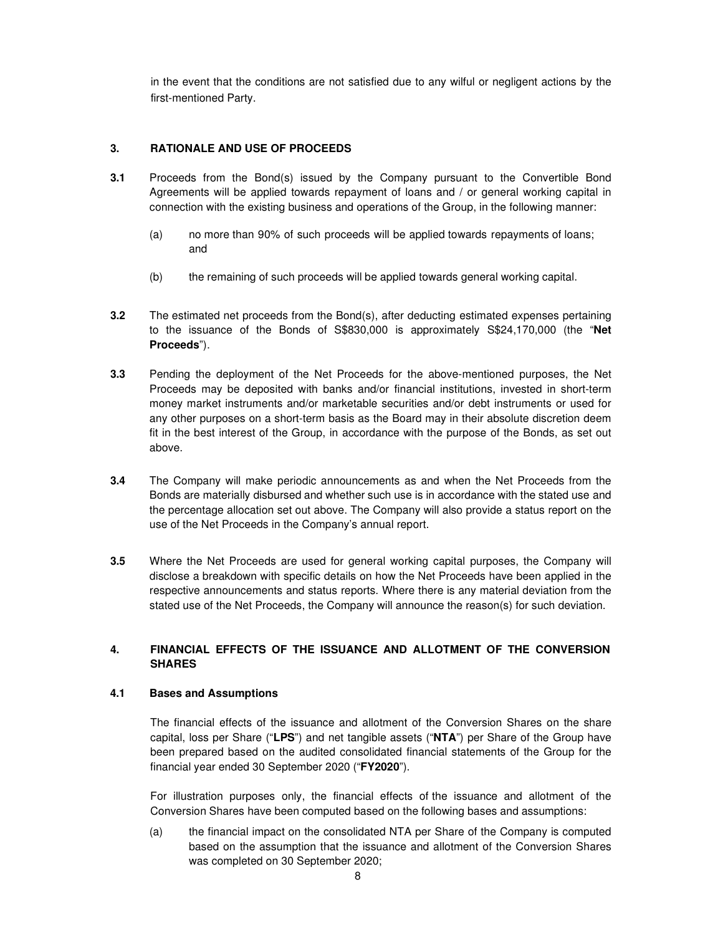in the event that the conditions are not satisfied due to any wilful or negligent actions by the first-mentioned Party.

### **3. RATIONALE AND USE OF PROCEEDS**

- **3.1** Proceeds from the Bond(s) issued by the Company pursuant to the Convertible Bond Agreements will be applied towards repayment of loans and / or general working capital in connection with the existing business and operations of the Group, in the following manner:
	- (a) no more than 90% of such proceeds will be applied towards repayments of loans; and
	- (b) the remaining of such proceeds will be applied towards general working capital.
- **3.2** The estimated net proceeds from the Bond(s), after deducting estimated expenses pertaining to the issuance of the Bonds of S\$830,000 is approximately S\$24,170,000 (the "**Net Proceeds**").
- **3.3** Pending the deployment of the Net Proceeds for the above-mentioned purposes, the Net Proceeds may be deposited with banks and/or financial institutions, invested in short-term money market instruments and/or marketable securities and/or debt instruments or used for any other purposes on a short-term basis as the Board may in their absolute discretion deem fit in the best interest of the Group, in accordance with the purpose of the Bonds, as set out above.
- **3.4** The Company will make periodic announcements as and when the Net Proceeds from the Bonds are materially disbursed and whether such use is in accordance with the stated use and the percentage allocation set out above. The Company will also provide a status report on the use of the Net Proceeds in the Company's annual report.
- **3.5** Where the Net Proceeds are used for general working capital purposes, the Company will disclose a breakdown with specific details on how the Net Proceeds have been applied in the respective announcements and status reports. Where there is any material deviation from the stated use of the Net Proceeds, the Company will announce the reason(s) for such deviation.

# **4. FINANCIAL EFFECTS OF THE ISSUANCE AND ALLOTMENT OF THE CONVERSION SHARES**

### **4.1 Bases and Assumptions**

The financial effects of the issuance and allotment of the Conversion Shares on the share capital, loss per Share ("**LPS**") and net tangible assets ("**NTA**") per Share of the Group have been prepared based on the audited consolidated financial statements of the Group for the financial year ended 30 September 2020 ("**FY2020**").

For illustration purposes only, the financial effects of the issuance and allotment of the Conversion Shares have been computed based on the following bases and assumptions:

(a) the financial impact on the consolidated NTA per Share of the Company is computed based on the assumption that the issuance and allotment of the Conversion Shares was completed on 30 September 2020;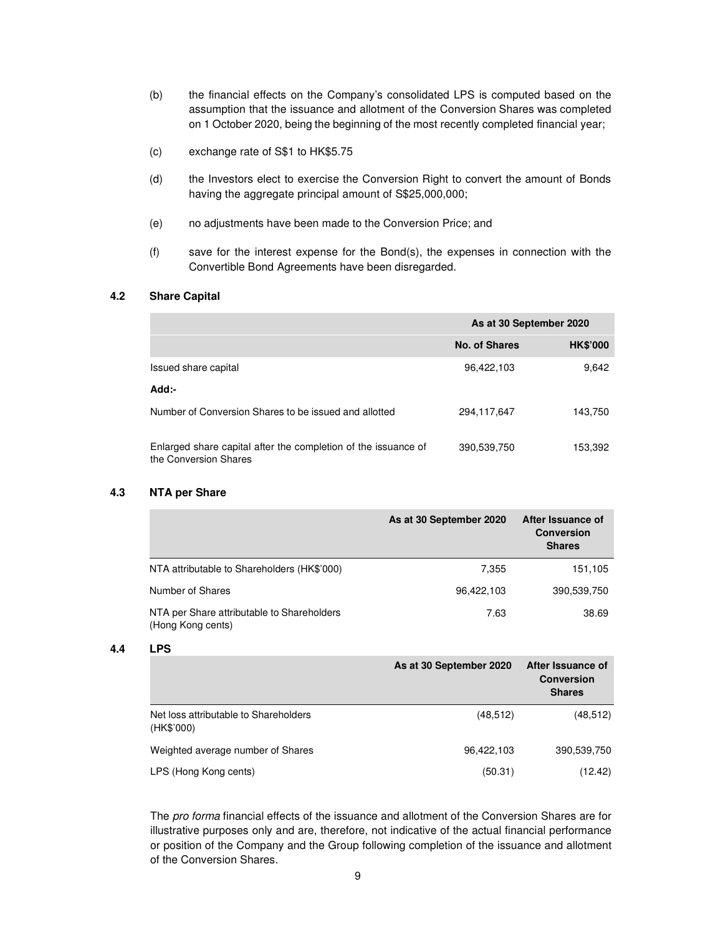- (b) the financial effects on the Company's consolidated LPS is computed based on the assumption that the issuance and allotment of the Conversion Shares was completed on 1 October 2020, being the beginning of the most recently completed financial year;
- (c) exchange rate of S\$1 to HK\$5.75
- (d) the Investors elect to exercise the Conversion Right to convert the amount of Bonds having the aggregate principal amount of S\$25,000,000;
- (e) no adjustments have been made to the Conversion Price; and
- (f) save for the interest expense for the Bond(s), the expenses in connection with the Convertible Bond Agreements have been disregarded.

### **4.2 Share Capital**

|                                                                                         | As at 30 September 2020 |                 |
|-----------------------------------------------------------------------------------------|-------------------------|-----------------|
|                                                                                         | No. of Shares           | <b>HK\$'000</b> |
| Issued share capital                                                                    | 96,422,103              | 9.642           |
| Add:-                                                                                   |                         |                 |
| Number of Conversion Shares to be issued and allotted                                   | 294.117.647             | 143,750         |
| Enlarged share capital after the completion of the issuance of<br>the Conversion Shares | 390,539,750             | 153,392         |

#### **4.3 NTA per Share**

|                                                                 | As at 30 September 2020 | After Issuance of<br><b>Conversion</b><br><b>Shares</b> |
|-----------------------------------------------------------------|-------------------------|---------------------------------------------------------|
| NTA attributable to Shareholders (HK\$'000)                     | 7.355                   | 151,105                                                 |
| Number of Shares                                                | 96,422,103              | 390,539,750                                             |
| NTA per Share attributable to Shareholders<br>(Hong Kong cents) | 7.63                    | 38.69                                                   |

#### **4.4 LPS**

|                                                     | As at 30 September 2020 | After Issuance of<br><b>Conversion</b><br><b>Shares</b> |
|-----------------------------------------------------|-------------------------|---------------------------------------------------------|
| Net loss attributable to Shareholders<br>(HK\$'000) | (48, 512)               | (48, 512)                                               |
| Weighted average number of Shares                   | 96.422.103              | 390,539,750                                             |
| LPS (Hong Kong cents)                               | (50.31)                 | (12.42)                                                 |

The pro forma financial effects of the issuance and allotment of the Conversion Shares are for illustrative purposes only and are, therefore, not indicative of the actual financial performance or position of the Company and the Group following completion of the issuance and allotment of the Conversion Shares.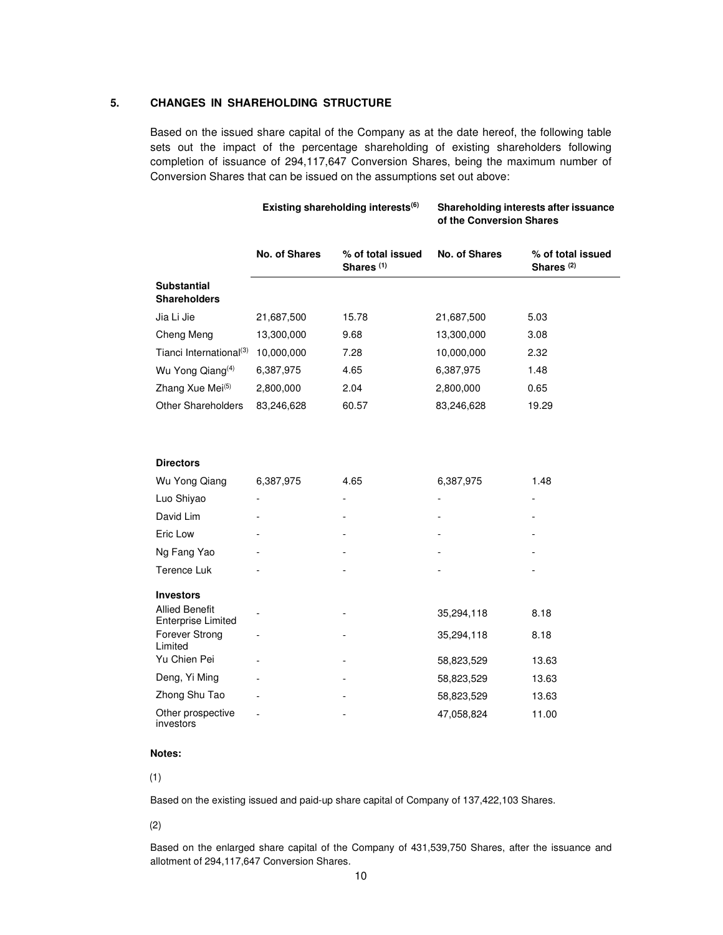#### **5. CHANGES IN SHAREHOLDING STRUCTURE**

Based on the issued share capital of the Company as at the date hereof, the following table sets out the impact of the percentage shareholding of existing shareholders following completion of issuance of 294,117,647 Conversion Shares, being the maximum number of Conversion Shares that can be issued on the assumptions set out above:

|                                                    |                      | Existing shareholding interests <sup>(6)</sup> | Shareholding interests after issuance<br>of the Conversion Shares |                                            |  |
|----------------------------------------------------|----------------------|------------------------------------------------|-------------------------------------------------------------------|--------------------------------------------|--|
|                                                    | <b>No. of Shares</b> | % of total issued<br>Shares <sup>(1)</sup>     | No. of Shares                                                     | % of total issued<br>Shares <sup>(2)</sup> |  |
| <b>Substantial</b><br><b>Shareholders</b>          |                      |                                                |                                                                   |                                            |  |
| Jia Li Jie                                         | 21,687,500           | 15.78                                          | 21,687,500                                                        | 5.03                                       |  |
| Cheng Meng                                         | 13,300,000           | 9.68                                           | 13,300,000                                                        | 3.08                                       |  |
| Tianci International <sup>(3)</sup>                | 10,000,000           | 7.28                                           | 10,000,000                                                        | 2.32                                       |  |
| Wu Yong Qiang <sup>(4)</sup>                       | 6,387,975            | 4.65                                           | 6,387,975                                                         | 1.48                                       |  |
| Zhang Xue Mei <sup>(5)</sup>                       | 2,800,000            | 2.04                                           | 2,800,000                                                         | 0.65                                       |  |
| <b>Other Shareholders</b>                          | 83,246,628           | 60.57                                          | 83,246,628                                                        | 19.29                                      |  |
|                                                    |                      |                                                |                                                                   |                                            |  |
| <b>Directors</b>                                   |                      |                                                |                                                                   |                                            |  |
| Wu Yong Qiang                                      | 6,387,975            | 4.65                                           | 6,387,975                                                         | 1.48                                       |  |
| Luo Shiyao                                         |                      |                                                | $\blacksquare$                                                    |                                            |  |
| David Lim                                          |                      |                                                |                                                                   |                                            |  |
| Eric Low                                           |                      |                                                |                                                                   |                                            |  |
| Ng Fang Yao                                        |                      |                                                |                                                                   |                                            |  |
| Terence Luk                                        |                      |                                                |                                                                   |                                            |  |
| <b>Investors</b>                                   |                      |                                                |                                                                   |                                            |  |
| <b>Allied Benefit</b><br><b>Enterprise Limited</b> |                      |                                                | 35,294,118                                                        | 8.18                                       |  |
| Forever Strong<br>Limited                          | $\overline{a}$       | $\blacksquare$                                 | 35,294,118                                                        | 8.18                                       |  |
| Yu Chien Pei                                       |                      | $\overline{a}$                                 | 58,823,529                                                        | 13.63                                      |  |
| Deng, Yi Ming                                      |                      |                                                | 58,823,529                                                        | 13.63                                      |  |
| Zhong Shu Tao                                      |                      |                                                | 58,823,529                                                        | 13.63                                      |  |
| Other prospective<br>investors                     |                      |                                                | 47,058,824                                                        | 11.00                                      |  |

#### **Notes:**

(1)

Based on the existing issued and paid-up share capital of Company of 137,422,103 Shares.

#### (2)

Based on the enlarged share capital of the Company of 431,539,750 Shares, after the issuance and allotment of 294,117,647 Conversion Shares.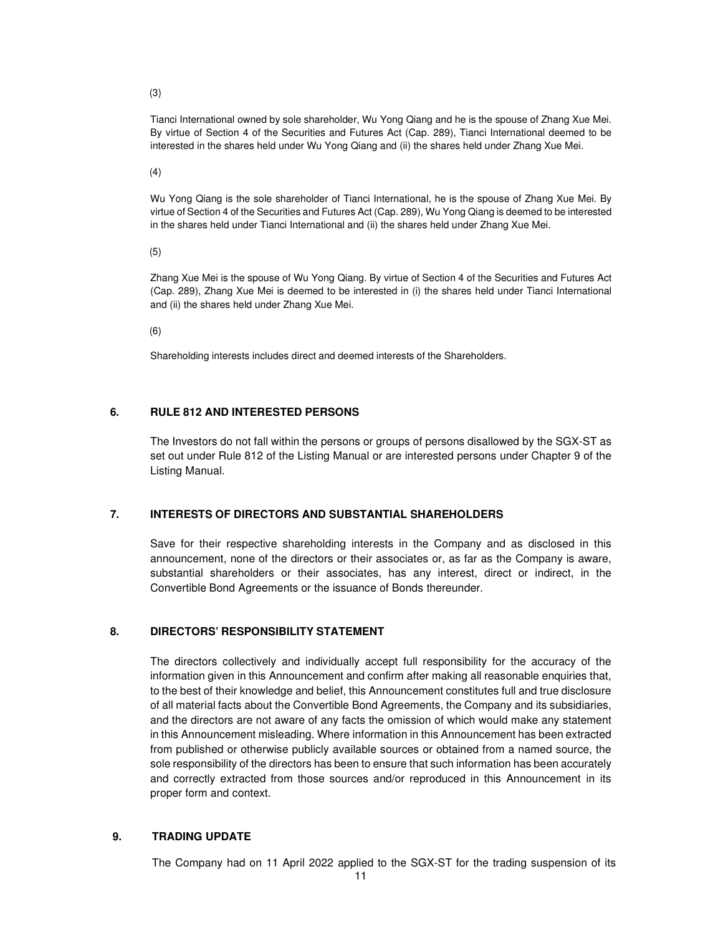(3)

Tianci International owned by sole shareholder, Wu Yong Qiang and he is the spouse of Zhang Xue Mei. By virtue of Section 4 of the Securities and Futures Act (Cap. 289), Tianci International deemed to be interested in the shares held under Wu Yong Qiang and (ii) the shares held under Zhang Xue Mei.

(4)

Wu Yong Qiang is the sole shareholder of Tianci International, he is the spouse of Zhang Xue Mei. By virtue of Section 4 of the Securities and Futures Act (Cap. 289), Wu Yong Qiang is deemed to be interested in the shares held under Tianci International and (ii) the shares held under Zhang Xue Mei.

(5)

Zhang Xue Mei is the spouse of Wu Yong Qiang. By virtue of Section 4 of the Securities and Futures Act (Cap. 289), Zhang Xue Mei is deemed to be interested in (i) the shares held under Tianci International and (ii) the shares held under Zhang Xue Mei.

(6)

Shareholding interests includes direct and deemed interests of the Shareholders.

## **6. RULE 812 AND INTERESTED PERSONS**

The Investors do not fall within the persons or groups of persons disallowed by the SGX-ST as set out under Rule 812 of the Listing Manual or are interested persons under Chapter 9 of the Listing Manual.

### **7. INTERESTS OF DIRECTORS AND SUBSTANTIAL SHAREHOLDERS**

Save for their respective shareholding interests in the Company and as disclosed in this announcement, none of the directors or their associates or, as far as the Company is aware, substantial shareholders or their associates, has any interest, direct or indirect, in the Convertible Bond Agreements or the issuance of Bonds thereunder.

### **8. DIRECTORS' RESPONSIBILITY STATEMENT**

The directors collectively and individually accept full responsibility for the accuracy of the information given in this Announcement and confirm after making all reasonable enquiries that, to the best of their knowledge and belief, this Announcement constitutes full and true disclosure of all material facts about the Convertible Bond Agreements, the Company and its subsidiaries, and the directors are not aware of any facts the omission of which would make any statement in this Announcement misleading. Where information in this Announcement has been extracted from published or otherwise publicly available sources or obtained from a named source, the sole responsibility of the directors has been to ensure that such information has been accurately and correctly extracted from those sources and/or reproduced in this Announcement in its proper form and context.

### **9. TRADING UPDATE**

The Company had on 11 April 2022 applied to the SGX-ST for the trading suspension of its